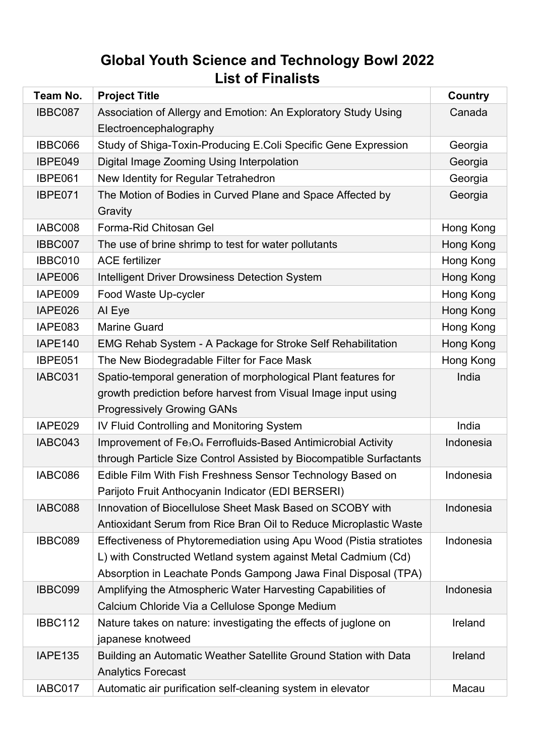## **Global Youth Science and Technology Bowl 2022 List of Finalists**

| Team No.       | <b>Project Title</b>                                                                   | <b>Country</b> |
|----------------|----------------------------------------------------------------------------------------|----------------|
| IBBC087        | Association of Allergy and Emotion: An Exploratory Study Using                         | Canada         |
|                | Electroencephalography                                                                 |                |
| IBBC066        | Study of Shiga-Toxin-Producing E.Coli Specific Gene Expression                         | Georgia        |
| IBPE049        | Digital Image Zooming Using Interpolation                                              | Georgia        |
| IBPE061        | New Identity for Regular Tetrahedron                                                   | Georgia        |
| IBPE071        | The Motion of Bodies in Curved Plane and Space Affected by<br>Gravity                  | Georgia        |
| IABC008        | Forma-Rid Chitosan Gel                                                                 | Hong Kong      |
| IBBC007        | The use of brine shrimp to test for water pollutants                                   | Hong Kong      |
| IBBC010        | <b>ACE fertilizer</b>                                                                  | Hong Kong      |
| IAPE006        | <b>Intelligent Driver Drowsiness Detection System</b>                                  | Hong Kong      |
| IAPE009        | Food Waste Up-cycler                                                                   | Hong Kong      |
| IAPE026        | Al Eye                                                                                 | Hong Kong      |
| IAPE083        | <b>Marine Guard</b>                                                                    | Hong Kong      |
| <b>IAPE140</b> | <b>EMG Rehab System - A Package for Stroke Self Rehabilitation</b>                     | Hong Kong      |
| <b>IBPE051</b> | The New Biodegradable Filter for Face Mask                                             | Hong Kong      |
| IABC031        | Spatio-temporal generation of morphological Plant features for                         | India          |
|                | growth prediction before harvest from Visual Image input using                         |                |
|                | <b>Progressively Growing GANs</b>                                                      |                |
| IAPE029        | IV Fluid Controlling and Monitoring System                                             | India          |
| IABC043        | Improvement of Fe <sub>3</sub> O <sub>4</sub> Ferrofluids-Based Antimicrobial Activity | Indonesia      |
|                | through Particle Size Control Assisted by Biocompatible Surfactants                    |                |
| IABC086        | Edible Film With Fish Freshness Sensor Technology Based on                             | Indonesia      |
|                | Parijoto Fruit Anthocyanin Indicator (EDI BERSERI)                                     |                |
| IABC088        | Innovation of Biocellulose Sheet Mask Based on SCOBY with                              | Indonesia      |
|                | Antioxidant Serum from Rice Bran Oil to Reduce Microplastic Waste                      |                |
| IBBC089        | Effectiveness of Phytoremediation using Apu Wood (Pistia stratiotes                    | Indonesia      |
|                | L) with Constructed Wetland system against Metal Cadmium (Cd)                          |                |
|                | Absorption in Leachate Ponds Gampong Jawa Final Disposal (TPA)                         |                |
| IBBC099        | Amplifying the Atmospheric Water Harvesting Capabilities of                            | Indonesia      |
|                | Calcium Chloride Via a Cellulose Sponge Medium                                         |                |
| <b>IBBC112</b> | Nature takes on nature: investigating the effects of juglone on                        | Ireland        |
|                | japanese knotweed                                                                      |                |
| <b>IAPE135</b> | Building an Automatic Weather Satellite Ground Station with Data                       | Ireland        |
|                | <b>Analytics Forecast</b>                                                              |                |
| IABC017        | Automatic air purification self-cleaning system in elevator                            | Macau          |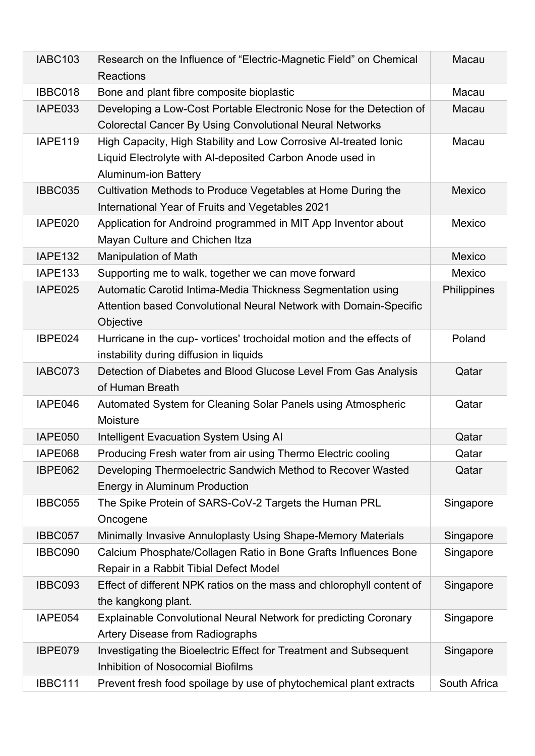| <b>IABC103</b> | Research on the Influence of "Electric-Magnetic Field" on Chemical<br><b>Reactions</b>                                                                       | <b>Macau</b>  |
|----------------|--------------------------------------------------------------------------------------------------------------------------------------------------------------|---------------|
| IBBC018        | Bone and plant fibre composite bioplastic                                                                                                                    | Macau         |
| IAPE033        | Developing a Low-Cost Portable Electronic Nose for the Detection of<br><b>Colorectal Cancer By Using Convolutional Neural Networks</b>                       | Macau         |
| <b>IAPE119</b> | High Capacity, High Stability and Low Corrosive Al-treated Ionic<br>Liquid Electrolyte with Al-deposited Carbon Anode used in<br><b>Aluminum-ion Battery</b> | Macau         |
| <b>IBBC035</b> | Cultivation Methods to Produce Vegetables at Home During the<br>International Year of Fruits and Vegetables 2021                                             | <b>Mexico</b> |
| IAPE020        | Application for Androind programmed in MIT App Inventor about<br>Mayan Culture and Chichen Itza                                                              | Mexico        |
| <b>IAPE132</b> | Manipulation of Math                                                                                                                                         | Mexico        |
| <b>IAPE133</b> | Supporting me to walk, together we can move forward                                                                                                          | Mexico        |
| IAPE025        | Automatic Carotid Intima-Media Thickness Segmentation using<br>Attention based Convolutional Neural Network with Domain-Specific<br>Objective                | Philippines   |
| IBPE024        | Hurricane in the cup- vortices' trochoidal motion and the effects of<br>instability during diffusion in liquids                                              | Poland        |
| IABC073        | Detection of Diabetes and Blood Glucose Level From Gas Analysis<br>of Human Breath                                                                           | Qatar         |
| IAPE046        | Automated System for Cleaning Solar Panels using Atmospheric<br>Moisture                                                                                     | Qatar         |
| IAPE050        | <b>Intelligent Evacuation System Using AI</b>                                                                                                                | Qatar         |
| IAPE068        | Producing Fresh water from air using Thermo Electric cooling                                                                                                 | Qatar         |
| IBPE062        | Developing Thermoelectric Sandwich Method to Recover Wasted<br><b>Energy in Aluminum Production</b>                                                          | Qatar         |
| IBBC055        | The Spike Protein of SARS-CoV-2 Targets the Human PRL<br>Oncogene                                                                                            | Singapore     |
| IBBC057        | Minimally Invasive Annuloplasty Using Shape-Memory Materials                                                                                                 | Singapore     |
| IBBC090        | Calcium Phosphate/Collagen Ratio in Bone Grafts Influences Bone<br>Repair in a Rabbit Tibial Defect Model                                                    | Singapore     |
| IBBC093        | Effect of different NPK ratios on the mass and chlorophyll content of<br>the kangkong plant.                                                                 | Singapore     |
| IAPE054        | <b>Explainable Convolutional Neural Network for predicting Coronary</b><br><b>Artery Disease from Radiographs</b>                                            | Singapore     |
| IBPE079        | Investigating the Bioelectric Effect for Treatment and Subsequent<br><b>Inhibition of Nosocomial Biofilms</b>                                                | Singapore     |
| <b>IBBC111</b> | Prevent fresh food spoilage by use of phytochemical plant extracts                                                                                           | South Africa  |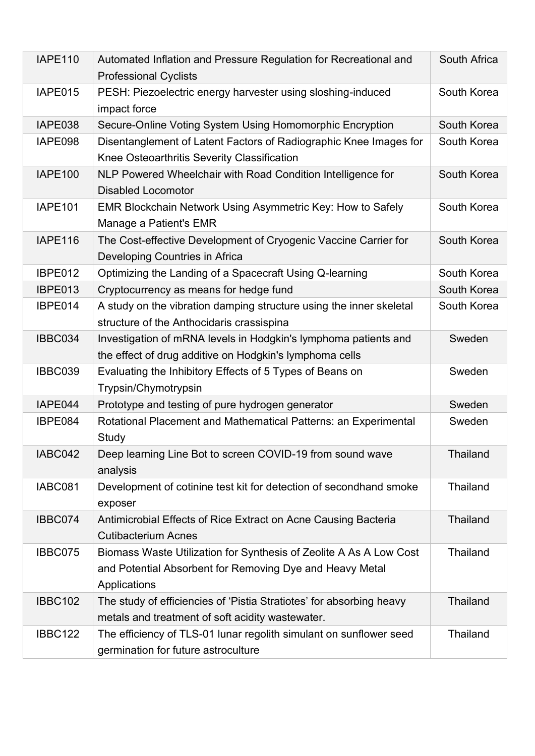| <b>IAPE110</b> | Automated Inflation and Pressure Regulation for Recreational and<br><b>Professional Cyclists</b>                                               | South Africa    |
|----------------|------------------------------------------------------------------------------------------------------------------------------------------------|-----------------|
| IAPE015        | PESH: Piezoelectric energy harvester using sloshing-induced<br>impact force                                                                    | South Korea     |
| IAPE038        | Secure-Online Voting System Using Homomorphic Encryption                                                                                       | South Korea     |
| IAPE098        | Disentanglement of Latent Factors of Radiographic Knee Images for<br>Knee Osteoarthritis Severity Classification                               | South Korea     |
| <b>IAPE100</b> | NLP Powered Wheelchair with Road Condition Intelligence for<br><b>Disabled Locomotor</b>                                                       | South Korea     |
| <b>IAPE101</b> | EMR Blockchain Network Using Asymmetric Key: How to Safely<br>Manage a Patient's EMR                                                           | South Korea     |
| <b>IAPE116</b> | The Cost-effective Development of Cryogenic Vaccine Carrier for<br>Developing Countries in Africa                                              | South Korea     |
| IBPE012        | Optimizing the Landing of a Spacecraft Using Q-learning                                                                                        | South Korea     |
| IBPE013        | Cryptocurrency as means for hedge fund                                                                                                         | South Korea     |
| IBPE014        | A study on the vibration damping structure using the inner skeletal<br>structure of the Anthocidaris crassispina                               | South Korea     |
| IBBC034        | Investigation of mRNA levels in Hodgkin's lymphoma patients and<br>the effect of drug additive on Hodgkin's lymphoma cells                     | Sweden          |
| IBBC039        | Evaluating the Inhibitory Effects of 5 Types of Beans on<br>Trypsin/Chymotrypsin                                                               | Sweden          |
| IAPE044        | Prototype and testing of pure hydrogen generator                                                                                               | Sweden          |
| IBPE084        | Rotational Placement and Mathematical Patterns: an Experimental<br>Study                                                                       | Sweden          |
| IABC042        | Deep learning Line Bot to screen COVID-19 from sound wave<br>analysis                                                                          | Thailand        |
| IABC081        | Development of cotinine test kit for detection of secondhand smoke<br>exposer                                                                  | <b>Thailand</b> |
| IBBC074        | Antimicrobial Effects of Rice Extract on Acne Causing Bacteria<br><b>Cutibacterium Acnes</b>                                                   | <b>Thailand</b> |
| IBBC075        | Biomass Waste Utilization for Synthesis of Zeolite A As A Low Cost<br>and Potential Absorbent for Removing Dye and Heavy Metal<br>Applications | Thailand        |
| <b>IBBC102</b> | The study of efficiencies of 'Pistia Stratiotes' for absorbing heavy<br>metals and treatment of soft acidity wastewater.                       | <b>Thailand</b> |
| <b>IBBC122</b> | The efficiency of TLS-01 lunar regolith simulant on sunflower seed<br>germination for future astroculture                                      | <b>Thailand</b> |